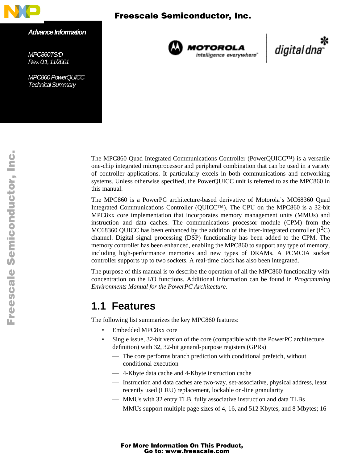

*Advance Information*

*MPC860TS/D Rev. 0.1, 11/2001*

*MPC860 PowerQUICC*™ *Technical Summary*



**MOTOROLA**<br>intelligence everywhere

digital dna

The MPC860 Quad Integrated Communications Controller (PowerQUICC™) is a versatile one-chip integrated microprocessor and peripheral combination that can be used in a variety of controller applications. It particularly excels in both communications and networking systems. Unless otherwise specified, the PowerQUICC unit is referred to as the MPC860 in this manual.

The MPC860 is a PowerPC architecture-based derivative of Motorola's MC68360 Quad Integrated Communications Controller (QUICC™). The CPU on the MPC860 is a 32-bit MPC8xx core implementation that incorporates memory management units (MMUs) and instruction and data caches. The communications processor module (CPM) from the MC68360 QUICC has been enhanced by the addition of the inter-integrated controller  $(I<sup>2</sup>C)$ channel. Digital signal processing (DSP) functionality has been added to the CPM. The memory controller has been enhanced, enabling the MPC860 to support any type of memory, including high-performance memories and new types of DRAMs. A PCMCIA socket controller supports up to two sockets. A real-time clock has also been integrated.

The purpose of this manual is to describe the operation of all the MPC860 functionality with concentration on the I/O functions. Additional information can be found in *Programming Environments Manual for the PowerPC Architecture.*

### **1.1 Features**

The following list summarizes the key MPC860 features:

- Embedded MPC8xx core
- Single issue, 32-bit version of the core (compatible with the PowerPC architecture definition) with 32, 32-bit general-purpose registers (GPRs)
	- The core performs branch prediction with conditional prefetch, without conditional execution
	- 4-Kbyte data cache and 4-Kbyte instruction cache
	- Instruction and data caches are two-way, set-associative, physical address, least recently used (LRU) replacement, lockable on-line granularity
	- MMUs with 32 entry TLB, fully associative instruction and data TLBs
	- MMUs support multiple page sizes of 4, 16, and 512 Kbytes, and 8 Mbytes; 16

## For More Information On This Product, Go to: www.freescale.com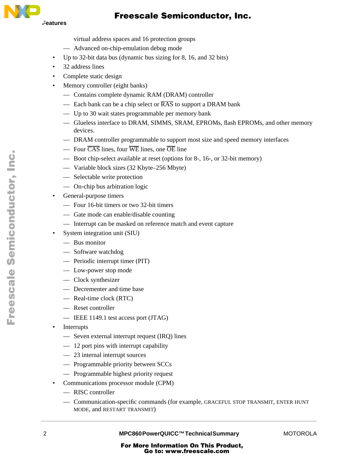

- virtual address spaces and 16 protection groups
- Advanced on-chip-emulation debug mode
- Up to 32-bit data bus (dynamic bus sizing for 8, 16, and 32 bits)
- 32 address lines
- Complete static design
- Memory controller (eight banks)
	- Contains complete dynamic RAM (DRAM) controller
	- Each bank can be a chip select or  $\overline{RAS}$  to support a DRAM bank
	- Up to 30 wait states programmable per memory bank
	- Glueless interface to DRAM, SIMMS, SRAM, EPROMs, flash EPROMs, and other memory devices.
	- DRAM controller programmable to support most size and speed memory interfaces
	- Four  $\overline{CAS}$  lines, four  $\overline{WE}$  lines, one  $\overline{OE}$  line
	- Boot chip-select available at reset (options for 8-, 16-, or 32-bit memory)
	- Variable block sizes (32 Kbyte–256 Mbyte)
	- Selectable write protection
	- On-chip bus arbitration logic
- General-purpose timers
	- Four 16-bit timers or two 32-bit timers
	- Gate mode can enable/disable counting
	- Interrupt can be masked on reference match and event capture
- System integration unit (SIU)
	- Bus monitor
	- Software watchdog
	- Periodic interrupt timer (PIT)
	- Low-power stop mode
	- Clock synthesizer
	- Decrementer and time base
	- Real-time clock (RTC)
	- Reset controller
	- IEEE 1149.1 test access port (JTAG)
- **Interrupts** 
	- Seven external interrupt request (IRQ) lines
	- 12 port pins with interrupt capability
	- 23 internal interrupt sources
	- Programmable priority between SCCs
	- Programmable highest priority request
- Communications processor module (CPM)
	- RISC controller
	- Communication-specific commands (for example, GRACEFUL STOP TRANSMIT, ENTER HUNT MODE, and RESTART TRANSMIT)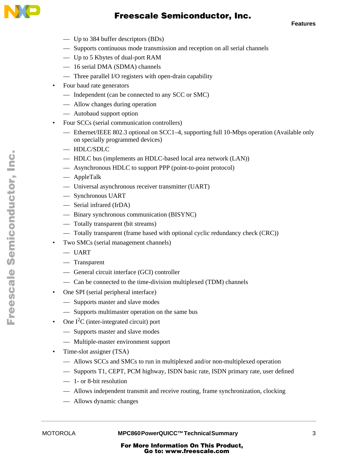

**Features**

- Up to 384 buffer descriptors (BDs)
- Supports continuous mode transmission and reception on all serial channels
- Up to 5 Kbytes of dual-port RAM
- 16 serial DMA (SDMA) channels
- Three parallel I/O registers with open-drain capability
- Four baud rate generators
	- Independent (can be connected to any SCC or SMC)
	- Allow changes during operation
	- Autobaud support option
- Four SCCs (serial communication controllers)
	- Ethernet/IEEE 802.3 optional on SCC1–4, supporting full 10-Mbps operation (Available only on specially programmed devices)
	- HDLC/SDLC
	- HDLC bus (implements an HDLC-based local area network (LAN))
	- Asynchronous HDLC to support PPP (point-to-point protocol)
	- AppleTalk
	- Universal asynchronous receiver transmitter (UART)
	- Synchronous UART
	- Serial infrared (IrDA)
	- Binary synchronous communication (BISYNC)
	- Totally transparent (bit streams)
	- Totally transparent (frame based with optional cyclic redundancy check (CRC))
- Two SMCs (serial management channels)
	- UART
	- Transparent
	- General circuit interface (GCI) controller
	- Can be connected to the time-division multiplexed (TDM) channels
- One SPI (serial peripheral interface)
	- Supports master and slave modes
	- Supports multimaster operation on the same bus
- One  $I<sup>2</sup>C$  (inter-integrated circuit) port
	- Supports master and slave modes
	- Multiple-master environment support
- Time-slot assigner (TSA)
	- Allows SCCs and SMCs to run in multiplexed and/or non-multiplexed operation
	- Supports T1, CEPT, PCM highway, ISDN basic rate, ISDN primary rate, user defined
	- 1- or 8-bit resolution
	- Allows independent transmit and receive routing, frame synchronization, clocking
	- Allows dynamic changes

MOTOROLA **MPC860 PowerQUICC™ Technical Summary** 3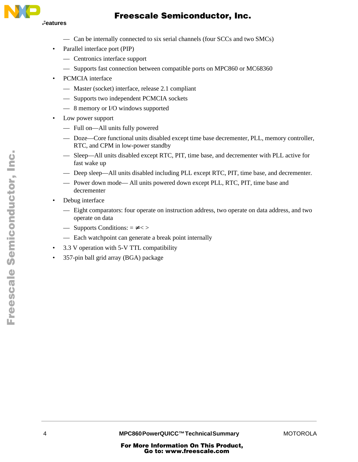

- Can be internally connected to six serial channels (four SCCs and two SMCs)
- Parallel interface port (PIP)
	- Centronics interface support
	- Supports fast connection between compatible ports on MPC860 or MC68360
- PCMCIA interface
	- Master (socket) interface, release 2.1 compliant
	- Supports two independent PCMCIA sockets
	- 8 memory or I/O windows supported
- Low power support
	- Full on—All units fully powered
	- Doze—Core functional units disabled except time base decrementer, PLL, memory controller, RTC, and CPM in low-power standby
	- Sleep—All units disabled except RTC, PIT, time base, and decrementer with PLL active for fast wake up
	- Deep sleep—All units disabled including PLL except RTC, PIT, time base, and decrementer.
	- Power down mode— All units powered down except PLL, RTC, PIT, time base and decrementer
- Debug interface
	- Eight comparators: four operate on instruction address, two operate on data address, and two operate on data
	- Supports Conditions:  $=$  <>
	- Each watchpoint can generate a break point internally
- 3.3 V operation with 5-V TTL compatibility
- 357-pin ball grid array (BGA) package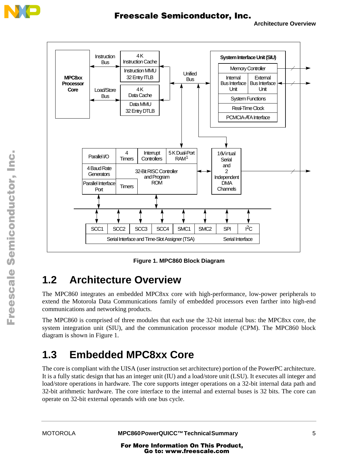



**Figure 1. MPC860 Block Diagram** 

## **1.2 Architecture Overview**

The MPC860 integrates an embedded MPC8xx core with high-performance, low-power peripherals to extend the Motorola Data Communications family of embedded processors even farther into high-end communications and networking products.

The MPC860 is comprised of three modules that each use the 32-bit internal bus: the MPC8xx core, the system integration unit (SIU), and the communication processor module (CPM). The MPC860 block diagram is shown in Figure 1.

# **1.3 Embedded MPC8xx Core**

The core is compliant with the UISA (user instruction set architecture) portion of the PowerPC architecture. It is a fully static design that has an integer unit (IU) and a load/store unit (LSU). It executes all integer and load/store operations in hardware. The core supports integer operations on a 32-bit internal data path and 32-bit arithmetic hardware. The core interface to the internal and external buses is 32 bits. The core can operate on 32-bit external operands with one bus cycle.

 $\blacksquare$ 

.<br>ق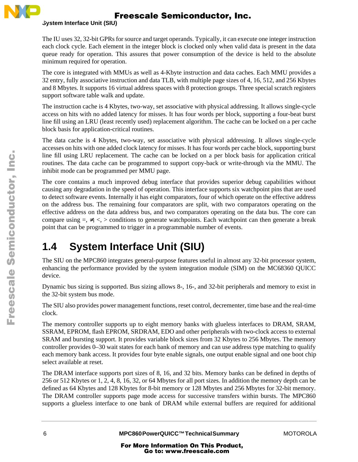

#### **System Interface Unit (SIU)**

The IU uses 32, 32-bit GPRs for source and target operands. Typically, it can execute one integer instruction each clock cycle. Each element in the integer block is clocked only when valid data is present in the data queue ready for operation. This assures that power consumption of the device is held to the absolute minimum required for operation.

The core is integrated with MMUs as well as 4-Kbyte instruction and data caches. Each MMU provides a 32 entry, fully associative instruction and data TLB, with multiple page sizes of 4, 16, 512, and 256 Kbytes and 8 Mbytes. It supports 16 virtual address spaces with 8 protection groups. Three special scratch registers support software table walk and update.

The instruction cache is 4 Kbytes, two-way, set associative with physical addressing. It allows single-cycle access on hits with no added latency for misses. It has four words per block, supporting a four-beat burst line fill using an LRU (least recently used) replacement algorithm. The cache can be locked on a per cache block basis for application-critical routines.

The data cache is 4 Kbytes, two-way, set associative with physical addressing. It allows single-cycle accesses on hits with one added clock latency for misses. It has four words per cache block, supporting burst line fill using LRU replacement. The cache can be locked on a per block basis for application critical routines. The data cache can be programmed to support copy-back or write-through via the MMU. The inhibit mode can be programmed per MMU page.

The core contains a much improved debug interface that provides superior debug capabilities without causing any degradation in the speed of operation. This interface supports six watchpoint pins that are used to detect software events. Internally it has eight comparators, four of which operate on the effective address on the address bus. The remaining four comparators are split, with two comparators operating on the effective address on the data address bus, and two comparators operating on the data bus. The core can compare using  $=$ ,  $\le$ ,  $\le$  conditions to generate watchpoints. Each watchpoint can then generate a break point that can be programmed to trigger in a programmable number of events.

## **1.4 System Interface Unit (SIU)**

The SIU on the MPC860 integrates general-purpose features useful in almost any 32-bit processor system, enhancing the performance provided by the system integration module (SIM) on the MC68360 QUICC device.

Dynamic bus sizing is supported. Bus sizing allows 8-, 16-, and 32-bit peripherals and memory to exist in the 32-bit system bus mode.

The SIU also provides power management functions, reset control, decrementer, time base and the real-time clock.

The memory controller supports up to eight memory banks with glueless interfaces to DRAM, SRAM, SSRAM, EPROM, flash EPROM, SRDRAM, EDO and other peripherals with two-clock access to external SRAM and bursting support. It provides variable block sizes from 32 Kbytes to 256 Mbytes. The memory controller provides 0–30 wait states for each bank of memory and can use address type matching to qualify each memory bank access. It provides four byte enable signals, one output enable signal and one boot chip select available at reset.

The DRAM interface supports port sizes of 8, 16, and 32 bits. Memory banks can be defined in depths of 256 or 512 Kbytes or 1, 2, 4, 8, 16, 32, or 64 Mbytes for all port sizes. In addition the memory depth can be defined as 64 Kbytes and 128 Kbytes for 8-bit memory or 128 Mbytes and 256 Mbytes for 32-bit memory. The DRAM controller supports page mode access for successive transfers within bursts. The MPC860 supports a glueless interface to one bank of DRAM while external buffers are required for additional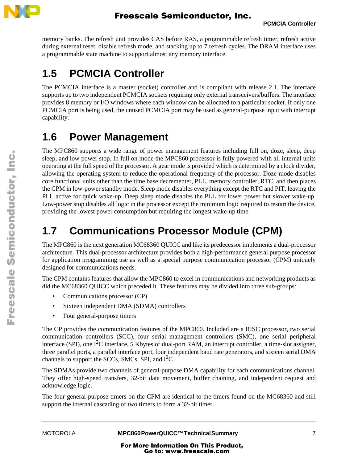

memory banks. The refresh unit provides  $\overline{CAS}$  before  $\overline{RAS}$ , a programmable refresh timer, refresh active during external reset, disable refresh mode, and stacking up to 7 refresh cycles. The DRAM interface uses a programmable state machine to support almost any memory interface.

# **1.5 PCMCIA Controller**

The PCMCIA interface is a master (socket) controller and is compliant with release 2.1. The interface supports up to two independent PCMCIA sockets requiring only external transceivers/buffers. The interface provides 8 memory or I/O windows where each window can be allocated to a particular socket. If only one PCMCIA port is being used, the unused PCMCIA port may be used as general-purpose input with interrupt capability.

## **1.6 Power Management**

The MPC860 supports a wide range of power management features including full on, doze, sleep, deep sleep, and low power stop. In full on mode the MPC860 processor is fully powered with all internal units operating at the full speed of the processor. A gear mode is provided which is determined by a clock divider, allowing the operating system to reduce the operational frequency of the processor. Doze mode disables core functional units other than the time base decrementer, PLL, memory controller, RTC, and then places the CPM in low-power standby mode. Sleep mode disables everything except the RTC and PIT, leaving the PLL active for quick wake-up. Deep sleep mode disables the PLL for lower power but slower wake-up. Low-power stop disables all logic in the processor except the minimum logic required to restart the device, providing the lowest power consumption but requiring the longest wake-up time.

## **1.7 Communications Processor Module (CPM)**

The MPC860 is the next generation MC68360 QUICC and like its predecessor implements a dual-processor architecture. This dual-processor architecture provides both a high-performance general purpose processor for application programming use as well as a special purpose communication processor (CPM) uniquely designed for communications needs.

The CPM contains features that allow the MPC860 to excel in communications and networking products as did the MC68360 QUICC which preceded it. These features may be divided into three sub-groups:

- Communications processor (CP)
- Sixteen independent DMA (SDMA) controllers
- Four general-purpose timers

The CP provides the communication features of the MPC860. Included are a RISC processor, two serial communication controllers (SCC), four serial management controllers (SMC), one serial peripheral interface (SPI), one  $I^2C$  interface, 5 Kbytes of dual-port RAM, an interrupt controller, a time-slot assigner, three parallel ports, a parallel interface port, four independent baud rate generators, and sixteen serial DMA channels to support the SCCs, SMCs, SPI, and  $I<sup>2</sup>C$ .

The SDMAs provide two channels of general-purpose DMA capability for each communications channel. They offer high-speed transfers, 32-bit data movement, buffer chaining, and independent request and acknowledge logic.

The four general-purpose timers on the CPM are identical to the timers found on the MC68360 and still support the internal cascading of two timers to form a 32-bit timer.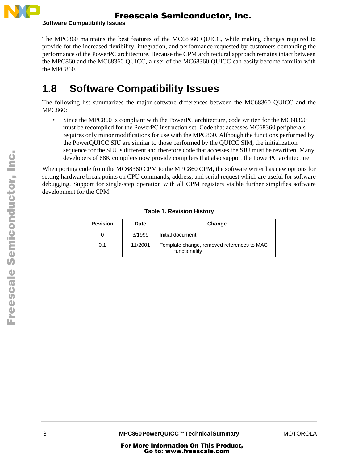

**Software Compatibility Issues** 

The MPC860 maintains the best features of the MC68360 QUICC, while making changes required to provide for the increased flexibility, integration, and performance requested by customers demanding the performance of the PowerPC architecture. Because the CPM architectural approach remains intact between the MPC860 and the MC68360 QUICC, a user of the MC68360 QUICC can easily become familiar with the MPC860.

# **1.8 Software Compatibility Issues**

The following list summarizes the major software differences between the MC68360 QUICC and the MPC860:

• Since the MPC860 is compliant with the PowerPC architecture, code written for the MC68360 must be recompiled for the PowerPC instruction set. Code that accesses MC68360 peripherals requires only minor modifications for use with the MPC860. Although the functions performed by the PowerQUICC SIU are similar to those performed by the QUICC SIM, the initialization sequence for the SIU is different and therefore code that accesses the SIU must be rewritten. Many developers of 68K compilers now provide compilers that also support the PowerPC architecture.

When porting code from the MC68360 CPM to the MPC860 CPM, the software writer has new options for setting hardware break points on CPU commands, address, and serial request which are useful for software debugging. Support for single-step operation with all CPM registers visible further simplifies software development for the CPM.

| <b>Revision</b> | Date    | Change                                                      |
|-----------------|---------|-------------------------------------------------------------|
|                 | 3/1999  | Initial document                                            |
| 0.1             | 11/2001 | Template change, removed references to MAC<br>functionality |

#### **Table 1. Revision History**